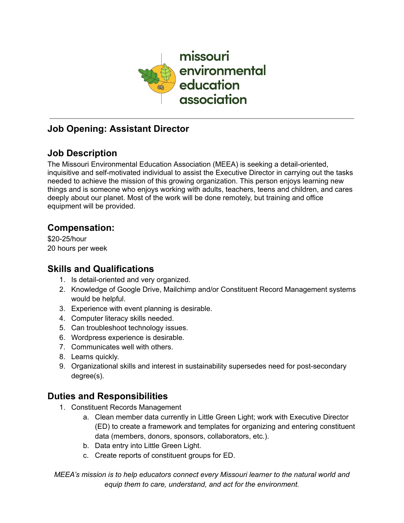

## **Job Opening: Assistant Director**

# **Job Description**

The Missouri Environmental Education Association (MEEA) is seeking a detail-oriented, inquisitive and self-motivated individual to assist the Executive Director in carrying out the tasks needed to achieve the mission of this growing organization. This person enjoys learning new things and is someone who enjoys working with adults, teachers, teens and children, and cares deeply about our planet. Most of the work will be done remotely, but training and office equipment will be provided.

### **Compensation:**

\$20-25/hour 20 hours per week

#### **Skills and Qualifications**

- 1. Is detail-oriented and very organized.
- 2. Knowledge of Google Drive, Mailchimp and/or Constituent Record Management systems would be helpful.
- 3. Experience with event planning is desirable.
- 4. Computer literacy skills needed.
- 5. Can troubleshoot technology issues.
- 6. Wordpress experience is desirable.
- 7. Communicates well with others.
- 8. Learns quickly.
- 9. Organizational skills and interest in sustainability supersedes need for post-secondary degree(s).

### **Duties and Responsibilities**

- 1. Constituent Records Management
	- a. Clean member data currently in Little Green Light; work with Executive Director (ED) to create a framework and templates for organizing and entering constituent data (members, donors, sponsors, collaborators, etc.).
	- b. Data entry into Little Green Light.
	- c. Create reports of constituent groups for ED.

*MEEA's mission is to help educators connect every Missouri learner to the natural world and equip them to care, understand, and act for the environment.*